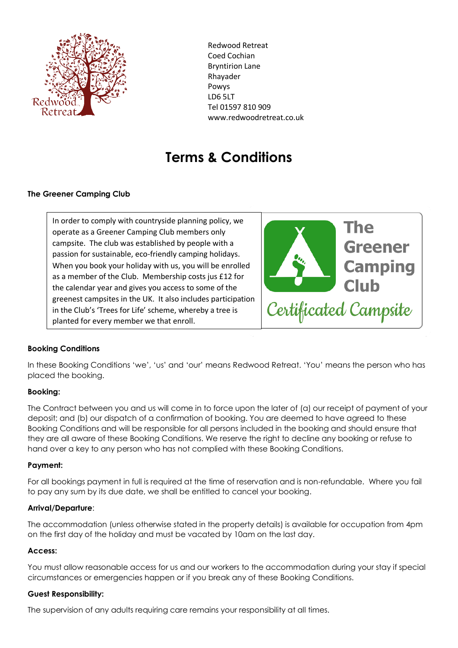

Redwood Retreat Coed Cochian Bryntirion Lane Rhayader Powys LD6 5LT Tel 01597 810 909 www.redwoodretreat.co.uk

# **Terms & Conditions**

## **The Greener Camping Club**

In order to comply with countryside planning policy, we operate as a Greener Camping Club members only campsite. The club was established by people with a passion for sustainable, eco-friendly camping holidays. When you book your holiday with us, you will be enrolled as a member of the Club. Membership costs jus £12 for the calendar year and gives you access to some of the greenest campsites in the UK. It also includes participation in the Club's 'Trees for Life' scheme, whereby a tree is planted for every member we that enroll.



## **Booking Conditions**

In these Booking Conditions 'we', 'us' and 'our' means Redwood Retreat. 'You' means the person who has placed the booking.

## **Booking:**

The Contract between you and us will come in to force upon the later of (a) our receipt of payment of your deposit; and (b) our dispatch of a confirmation of booking. You are deemed to have agreed to these Booking Conditions and will be responsible for all persons included in the booking and should ensure that they are all aware of these Booking Conditions. We reserve the right to decline any booking or refuse to hand over a key to any person who has not complied with these Booking Conditions.

#### **Payment:**

For all bookings payment in full is required at the time of reservation and is non-refundable. Where you fail to pay any sum by its due date, we shall be entitled to cancel your booking.

#### **Arrival/Departure**:

The accommodation (unless otherwise stated in the property details) is available for occupation from 4pm on the first day of the holiday and must be vacated by 10am on the last day.

#### **Access:**

You must allow reasonable access for us and our workers to the accommodation during your stay if special circumstances or emergencies happen or if you break any of these Booking Conditions.

#### **Guest Responsibility:**

The supervision of any adults requiring care remains your responsibility at all times.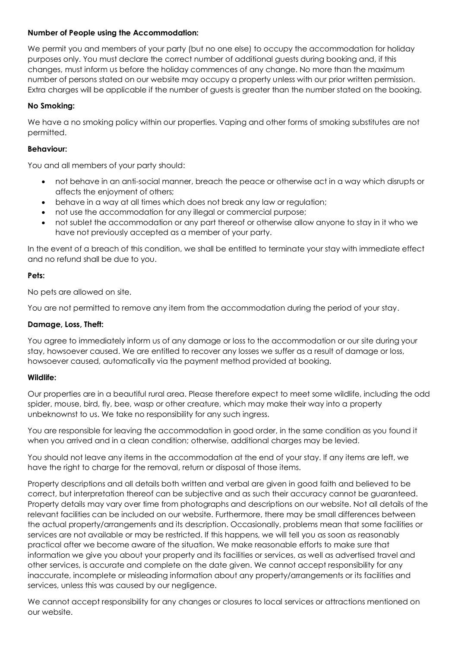## **Number of People using the Accommodation:**

We permit you and members of your party (but no one else) to occupy the accommodation for holiday purposes only. You must declare the correct number of additional guests during booking and, if this changes, must inform us before the holiday commences of any change. No more than the maximum number of persons stated on our website may occupy a property unless with our prior written permission. Extra charges will be applicable if the number of guests is greater than the number stated on the booking.

# **No Smoking:**

We have a no smoking policy within our properties. Vaping and other forms of smoking substitutes are not permitted.

## **Behaviour:**

You and all members of your party should:

- not behave in an anti-social manner, breach the peace or otherwise act in a way which disrupts or affects the enjoyment of others;
- behave in a way at all times which does not break any law or regulation;
- not use the accommodation for any illegal or commercial purpose;
- not sublet the accommodation or any part thereof or otherwise allow anyone to stay in it who we have not previously accepted as a member of your party.

In the event of a breach of this condition, we shall be entitled to terminate your stay with immediate effect and no refund shall be due to you.

## **Pets:**

No pets are allowed on site.

You are not permitted to remove any item from the accommodation during the period of your stay.

## **Damage, Loss, Theft:**

You agree to immediately inform us of any damage or loss to the accommodation or our site during your stay, howsoever caused. We are entitled to recover any losses we suffer as a result of damage or loss, howsoever caused, automatically via the payment method provided at booking.

## **Wildlife:**

Our properties are in a beautiful rural area. Please therefore expect to meet some wildlife, including the odd spider, mouse, bird, fly, bee, wasp or other creature, which may make their way into a property unbeknownst to us. We take no responsibility for any such ingress.

You are responsible for leaving the accommodation in good order, in the same condition as you found it when you arrived and in a clean condition; otherwise, additional charges may be levied.

You should not leave any items in the accommodation at the end of your stay. If any items are left, we have the right to charge for the removal, return or disposal of those items.

Property descriptions and all details both written and verbal are given in good faith and believed to be correct, but interpretation thereof can be subjective and as such their accuracy cannot be guaranteed. Property details may vary over time from photographs and descriptions on our website. Not all details of the relevant facilities can be included on our website. Furthermore, there may be small differences between the actual property/arrangements and its description. Occasionally, problems mean that some facilities or services are not available or may be restricted. If this happens, we will tell you as soon as reasonably practical after we become aware of the situation. We make reasonable efforts to make sure that information we give you about your property and its facilities or services, as well as advertised travel and other services, is accurate and complete on the date given. We cannot accept responsibility for any inaccurate, incomplete or misleading information about any property/arrangements or its facilities and services, unless this was caused by our negligence.

We cannot accept responsibility for any changes or closures to local services or attractions mentioned on our website.